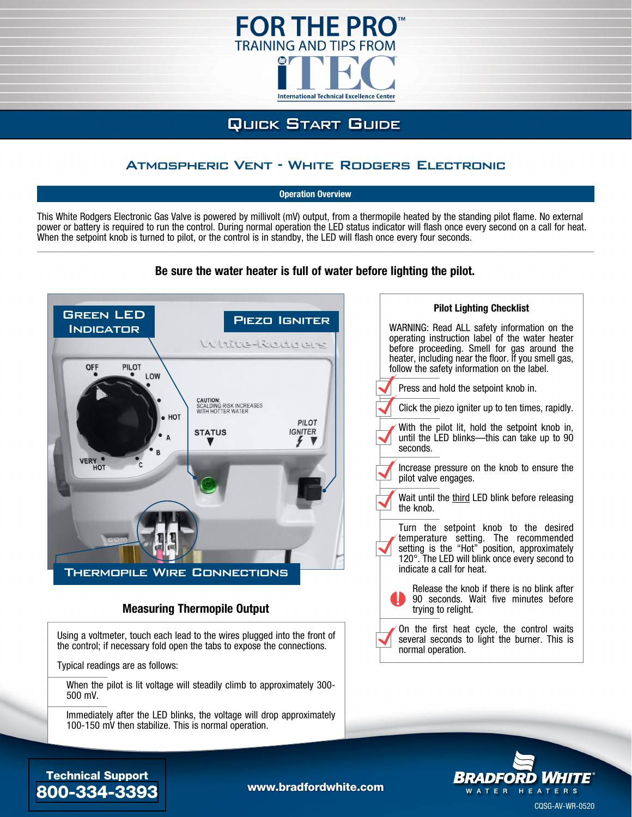

# **QUICK START GUIDE**

## Atmospheric Vent - White Rodgers Electronic

**Operation Overview**

This White Rodgers Electronic Gas Valve is powered by millivolt (mV) output, from a thermopile heated by the standing pilot flame. No external power or battery is required to run the control. During normal operation the LED status indicator will flash once every second on a call for heat. When the setpoint knob is turned to pilot, or the control is in standby, the LED will flash once every four seconds.



### **Be sure the water heater is full of water before lighting the pilot.**

#### **Measuring Thermopile Output**

Using a voltmeter, touch each lead to the wires plugged into the front of the control; if necessary fold open the tabs to expose the connections.

Typical readings are as follows:

When the pilot is lit voltage will steadily climb to approximately 300- 500 mV.

Immediately after the LED blinks, the voltage will drop approximately 100-150 mV then stabilize. This is normal operation.





## Technical Support [800-334-3393](tel://18003343393) [www.bradfordwhite.com](http://www.bradfordwhite.com)